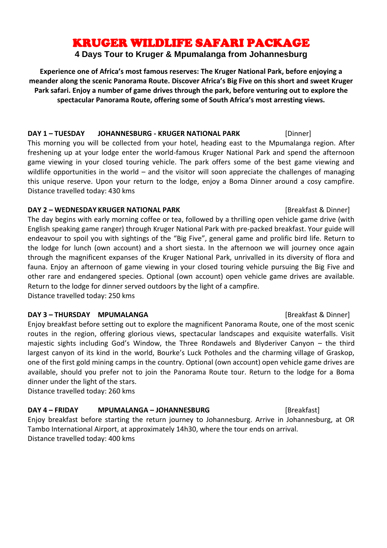# KRUGER WILDLIFE SAFARI PACKAGE

## **4 Days Tour to Kruger & Mpumalanga from Johannesburg**

**Experience one of Africa's most famous reserves: The Kruger National Park, before enjoying a meander along the scenic Panorama Route. Discover Africa's Big Five on this short and sweet Kruger Park safari. Enjoy a number of game drives through the park, before venturing out to explore the spectacular Panorama Route, offering some of South Africa's most arresting views.**

### **DAY 1 – TUESDAY JOHANNESBURG - KRUGER NATIONAL PARK** [Dinner]

This morning you will be collected from your hotel, heading east to the Mpumalanga region. After freshening up at your lodge enter the world-famous Kruger National Park and spend the afternoon game viewing in your closed touring vehicle. The park offers some of the best game viewing and wildlife opportunities in the world – and the visitor will soon appreciate the challenges of managing this unique reserve. Upon your return to the lodge, enjoy a Boma Dinner around a cosy campfire. Distance travelled today: 430 kms

### **DAY 2 – WEDNESDAY KRUGER NATIONAL PARK <b>INCLUSIVE EXAMPLE 18** [Breakfast & Dinner]

The day begins with early morning coffee or tea, followed by a thrilling open vehicle game drive (with English speaking game ranger) through Kruger National Park with pre-packed breakfast. Your guide will endeavour to spoil you with sightings of the "Big Five", general game and prolific bird life. Return to the lodge for lunch (own account) and a short siesta. In the afternoon we will journey once again through the magnificent expanses of the Kruger National Park, unrivalled in its diversity of flora and fauna. Enjoy an afternoon of game viewing in your closed touring vehicle pursuing the Big Five and other rare and endangered species. Optional (own account) open vehicle game drives are available. Return to the lodge for dinner served outdoors by the light of a campfire.

Distance travelled today: 250 kms

### **DAY 3 – THURSDAY MPUMALANGA 1988 1988 1988 1988 1988 1988 1988 1988 1988 1988 1988 1988 1988 1988 1988 1988 1988 1988 1988 1988 1988 1988 1988 1988 1988 1988 1988 19**

Enjoy breakfast before setting out to explore the magnificent Panorama Route, one of the most scenic routes in the region, offering glorious views, spectacular landscapes and exquisite waterfalls. Visit majestic sights including God's Window, the Three Rondawels and Blyderiver Canyon – the third largest canyon of its kind in the world, Bourke's Luck Potholes and the charming village of Graskop, one of the first gold mining camps in the country. Optional (own account) open vehicle game drives are available, should you prefer not to join the Panorama Route tour. Return to the lodge for a Boma dinner under the light of the stars.

Distance travelled today: 260 kms

## **DAY 4 – FRIDAY MPUMALANGA – JOHANNESBURG** [Breakfast]

Enjoy breakfast before starting the return journey to Johannesburg. Arrive in Johannesburg, at OR Tambo International Airport, at approximately 14h30, where the tour ends on arrival. Distance travelled today: 400 kms